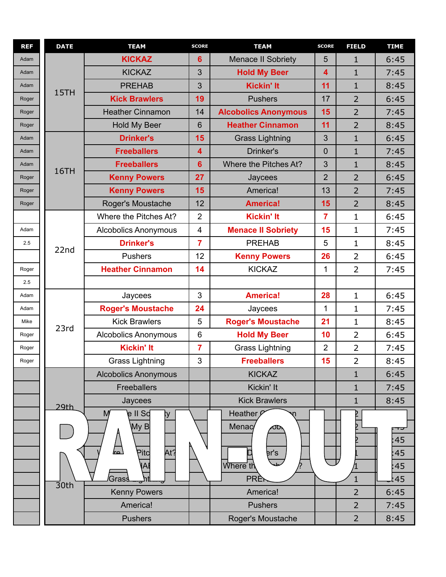| <b>REF</b> | <b>DATE</b>        | <b>TEAM</b>                     | <b>SCORE</b>            | <b>TEAM</b>                 | <b>SCORE</b>            | <b>FIELD</b>   | <b>TIME</b> |
|------------|--------------------|---------------------------------|-------------------------|-----------------------------|-------------------------|----------------|-------------|
| Adam       |                    | <b>KICKAZ</b>                   | 6                       | <b>Menace II Sobriety</b>   | 5                       | $\mathbf{1}$   | 6:45        |
| Adam       |                    | <b>KICKAZ</b>                   | 3                       | <b>Hold My Beer</b>         | $\overline{\mathbf{4}}$ | $\mathbf{1}$   | 7:45        |
| Adam       | 15TH               | <b>PREHAB</b>                   | 3                       | <b>Kickin' It</b>           | 11                      | $\mathbf{1}$   | 8:45        |
| Roger      |                    | <b>Kick Brawlers</b>            | 19                      | <b>Pushers</b>              | 17                      | $\overline{2}$ | 6:45        |
| Roger      |                    | <b>Heather Cinnamon</b>         | 14                      | <b>Alcobolics Anonymous</b> | 15                      | $\overline{2}$ | 7:45        |
| Roger      |                    | Hold My Beer                    | $6\phantom{1}$          | <b>Heather Cinnamon</b>     | 11                      | $\overline{2}$ | 8:45        |
| Adam       |                    | <b>Drinker's</b>                | 15                      | <b>Grass Lightning</b>      | 3                       | $\mathbf{1}$   | 6:45        |
| Adam       |                    | <b>Freeballers</b>              | $\overline{\mathbf{4}}$ | Drinker's                   | $\overline{0}$          | $\mathbf{1}$   | 7:45        |
| Adam       | 16TH               | <b>Freeballers</b>              | $6\phantom{1}$          | Where the Pitches At?       | 3                       | $\mathbf{1}$   | 8:45        |
| Roger      |                    | <b>Kenny Powers</b>             | 27                      | Jaycees                     | $\overline{2}$          | $\overline{2}$ | 6:45        |
| Roger      |                    | <b>Kenny Powers</b>             | 15                      | America!                    | 13                      | $\overline{2}$ | 7:45        |
| Roger      |                    | Roger's Moustache               | 12                      | <b>America!</b>             | 15                      | $\overline{2}$ | 8:45        |
|            |                    | Where the Pitches At?           | $\overline{2}$          | <b>Kickin' It</b>           | $\overline{7}$          | $\mathbf{1}$   | 6:45        |
| Adam       |                    | <b>Alcobolics Anonymous</b>     | $\overline{\mathbf{4}}$ | <b>Menace II Sobriety</b>   | 15                      | $\mathbf{1}$   | 7:45        |
| 2.5        | 22nd               | <b>Drinker's</b>                | $\overline{7}$          | <b>PREHAB</b>               | 5                       | $\mathbf{1}$   | 8:45        |
|            |                    | Pushers                         | 12                      | <b>Kenny Powers</b>         | 26                      | $\overline{2}$ | 6:45        |
| Roger      |                    | <b>Heather Cinnamon</b>         | 14                      | <b>KICKAZ</b>               | 1                       | $\overline{2}$ | 7:45        |
| 2.5        |                    |                                 |                         |                             |                         |                |             |
| Adam       |                    | Jaycees                         | $\mathbf{3}$            | <b>America!</b>             | 28                      | $\mathbf{1}$   | 6:45        |
| Adam       |                    | <b>Roger's Moustache</b>        | 24                      | Jaycees                     | $\mathbf 1$             | $\mathbf{1}$   | 7:45        |
| Mike       | 23rd               | <b>Kick Brawlers</b>            | 5                       | <b>Roger's Moustache</b>    | 21                      | $\mathbf{1}$   | 8:45        |
| Roger      |                    | <b>Alcobolics Anonymous</b>     | $\,6$                   | <b>Hold My Beer</b>         | 10                      | $\overline{2}$ | 6:45        |
| Roger      |                    | <b>Kickin' It</b>               | $\overline{7}$          | <b>Grass Lightning</b>      | $\overline{2}$          | $\overline{2}$ | 7:45        |
| Roger      |                    | <b>Grass Lightning</b>          | 3                       | <b>Freeballers</b>          | 15                      | $\overline{2}$ | 8:45        |
|            |                    | <b>Alcobolics Anonymous</b>     |                         | <b>KICKAZ</b>               |                         | $\mathbf{1}$   | 6:45        |
|            |                    | <b>Freeballers</b>              |                         | Kickin' It                  |                         | $\mathbf{1}$   | 7:45        |
|            | 29th               | Jaycees                         |                         | <b>Kick Brawlers</b>        |                         | $\mathbf{1}$   | 8:45        |
|            |                    | e II So<br>M<br>ţу<br>MyB       |                         | Heather<br>Menac<br>υι      |                         |                | ᠇ᢖ          |
|            |                    |                                 |                         |                             |                         |                | :45         |
|            |                    | At?<br>$\mathsf{P}\mathsf{itc}$ |                         | er's                        |                         |                | :45         |
|            |                    |                                 |                         | Where th                    |                         |                | :45         |
|            |                    | Gras                            |                         | <b>PRI</b>                  |                         | $\mathbf{1}$   | :45         |
|            | $\overline{3}$ 0th | <b>Kenny Powers</b>             |                         | America!                    |                         | $\overline{2}$ | 6:45        |
|            |                    | America!                        |                         | <b>Pushers</b>              |                         | $\overline{2}$ | 7:45        |
|            |                    | <b>Pushers</b>                  |                         | Roger's Moustache           |                         | $\overline{2}$ | 8:45        |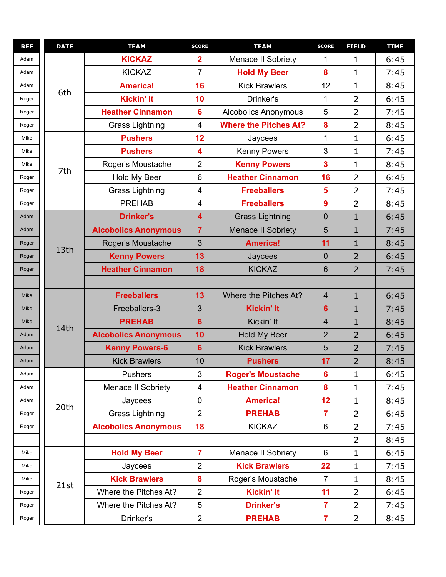| <b>REF</b>  | <b>DATE</b> | <b>TEAM</b>                 | <b>SCORE</b>            | <b>TEAM</b>                  | <b>SCORE</b>            | <b>FIELD</b>   | <b>TIME</b> |
|-------------|-------------|-----------------------------|-------------------------|------------------------------|-------------------------|----------------|-------------|
| Adam        |             | <b>KICKAZ</b>               | $\overline{\mathbf{2}}$ | Menace II Sobriety           | 1                       | 1              | 6:45        |
| Adam        |             | <b>KICKAZ</b>               | $\overline{7}$          | <b>Hold My Beer</b>          | 8                       | $\mathbf{1}$   | 7:45        |
| Adam        | 6th         | <b>America!</b>             | 16                      | <b>Kick Brawlers</b>         | 12                      | $\mathbf{1}$   | 8:45        |
| Roger       |             | <b>Kickin' It</b>           | 10                      | Drinker's                    | 1                       | $\overline{2}$ | 6:45        |
| Roger       |             | <b>Heather Cinnamon</b>     | $6\phantom{1}6$         | <b>Alcobolics Anonymous</b>  | 5                       | $\overline{2}$ | 7:45        |
| Roger       |             | <b>Grass Lightning</b>      | 4                       | <b>Where the Pitches At?</b> | 8                       | $\overline{2}$ | 8:45        |
| Mike        |             | <b>Pushers</b>              | 12                      | Jaycees                      | 1                       | $\mathbf{1}$   | 6:45        |
| Mike        |             | <b>Pushers</b>              | 4                       | <b>Kenny Powers</b>          | 3                       | $\mathbf{1}$   | 7:45        |
| Mike        | 7th         | Roger's Moustache           | $\overline{2}$          | <b>Kenny Powers</b>          | 3                       | $\mathbf{1}$   | 8:45        |
| Roger       |             | Hold My Beer                | 6                       | <b>Heather Cinnamon</b>      | 16                      | $\overline{2}$ | 6:45        |
| Roger       |             | <b>Grass Lightning</b>      | 4                       | <b>Freeballers</b>           | 5                       | $\overline{2}$ | 7:45        |
| Roger       |             | <b>PREHAB</b>               | 4                       | <b>Freeballers</b>           | 9                       | $\overline{2}$ | 8:45        |
| Adam        |             | <b>Drinker's</b>            | 4                       | <b>Grass Lightning</b>       | 0                       | $\mathbf{1}$   | 6:45        |
| Adam        |             | <b>Alcobolics Anonymous</b> | $\overline{7}$          | <b>Menace II Sobriety</b>    | 5                       | $\mathbf{1}$   | 7:45        |
| Roger       | 13th        | Roger's Moustache           | 3                       | <b>America!</b>              | 11                      | $\mathbf{1}$   | 8:45        |
| Roger       |             | <b>Kenny Powers</b>         | 13                      | Jaycees                      | $\overline{0}$          | $\overline{2}$ | 6:45        |
| Roger       |             | <b>Heather Cinnamon</b>     | 18                      | <b>KICKAZ</b>                | 6                       | $\overline{2}$ | 7:45        |
|             |             |                             |                         |                              |                         |                |             |
| <b>Mike</b> |             | <b>Freeballers</b>          | 13                      | Where the Pitches At?        | $\overline{4}$          | $\mathbf{1}$   | 6:45        |
| <b>Mike</b> |             | Freeballers-3               | 3                       | <b>Kickin' It</b>            | $6\phantom{a}$          | $\mathbf{1}$   | 7:45        |
| Mike        | 14th        | <b>PREHAB</b>               | $6\phantom{1}$          | Kickin' It                   | 4                       | $\mathbf{1}$   | 8:45        |
| Adam        |             | <b>Alcobolics Anonymous</b> | 10                      | Hold My Beer                 | $\overline{2}$          | $\overline{2}$ | 6:45        |
| Adam        |             | <b>Kenny Powers-6</b>       | $6\phantom{1}$          | <b>Kick Brawlers</b>         | 5                       | $\overline{2}$ | 7:45        |
| Adam        |             | <b>Kick Brawlers</b>        | 10                      | <b>Pushers</b>               | 17                      | $\overline{2}$ | 8:45        |
| Adam        |             | <b>Pushers</b>              | 3                       | <b>Roger's Moustache</b>     | 6                       | $\mathbf{1}$   | 6:45        |
| Adam        |             | Menace II Sobriety          | 4                       | <b>Heather Cinnamon</b>      | 8                       | $\mathbf 1$    | 7:45        |
| Adam        | 20th        | Jaycees                     | $\mathbf 0$             | <b>America!</b>              | 12                      | $\mathbf 1$    | 8:45        |
| Roger       |             | <b>Grass Lightning</b>      | $\overline{2}$          | <b>PREHAB</b>                | $\overline{7}$          | $\overline{2}$ | 6:45        |
| Roger       |             | <b>Alcobolics Anonymous</b> | 18                      | <b>KICKAZ</b>                | 6                       | $\overline{2}$ | 7:45        |
|             |             |                             |                         |                              |                         | $\overline{2}$ | 8:45        |
| Mike        |             | <b>Hold My Beer</b>         | $\overline{7}$          | Menace II Sobriety           | 6                       | $\mathbf 1$    | 6:45        |
| Mike        |             | Jaycees                     | $\overline{2}$          | <b>Kick Brawlers</b>         | 22                      | $\mathbf{1}$   | 7:45        |
| Mike        | 21st        | <b>Kick Brawlers</b>        | 8                       | Roger's Moustache            | $\overline{7}$          | $\mathbf{1}$   | 8:45        |
| Roger       |             | Where the Pitches At?       | $\overline{2}$          | <b>Kickin' It</b>            | 11                      | $\overline{2}$ | 6:45        |
| Roger       |             | Where the Pitches At?       | 5                       | <b>Drinker's</b>             | $\overline{7}$          | $\overline{2}$ | 7:45        |
| Roger       |             | Drinker's                   | $\overline{2}$          | <b>PREHAB</b>                | $\overline{\mathbf{7}}$ | $\overline{2}$ | 8:45        |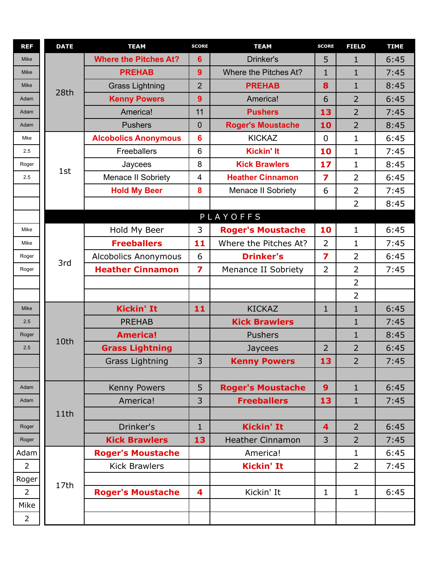| <b>REF</b>     | <b>DATE</b> | <b>TEAM</b>                  | <b>SCORE</b>            | <b>TEAM</b>              | <b>SCORE</b>            | <b>FIELD</b>   | <b>TIME</b> |
|----------------|-------------|------------------------------|-------------------------|--------------------------|-------------------------|----------------|-------------|
| <b>Mike</b>    |             | <b>Where the Pitches At?</b> | $6\phantom{1}6$         | Drinker's                | 5                       | $\mathbf{1}$   | 6:45        |
| <b>Mike</b>    |             | <b>PREHAB</b>                | 9                       | Where the Pitches At?    | $\mathbf{1}$            | $\mathbf{1}$   | 7:45        |
| Mike           | 28th        | <b>Grass Lightning</b>       | $\overline{2}$          | <b>PREHAB</b>            | 8                       | $\mathbf{1}$   | 8:45        |
| Adam           |             | <b>Kenny Powers</b>          | 9                       | America!                 | 6                       | $\overline{2}$ | 6:45        |
| Adam           |             | America!                     | 11                      | <b>Pushers</b>           | 13                      | $\overline{2}$ | 7:45        |
| Adam           |             | <b>Pushers</b>               | $\mathbf{0}$            | <b>Roger's Moustache</b> | 10                      | $\overline{2}$ | 8:45        |
| Mke            |             | <b>Alcobolics Anonymous</b>  | $6\phantom{1}6$         | <b>KICKAZ</b>            | $\mathbf 0$             | $\mathbf{1}$   | 6:45        |
| 2.5            |             | Freeballers                  | 6                       | <b>Kickin' It</b>        | 10                      | $\mathbf{1}$   | 7:45        |
| Roger          |             | Jaycees                      | 8                       | <b>Kick Brawlers</b>     | 17                      | $\mathbf{1}$   | 8:45        |
| 2.5            | 1st         | Menace II Sobriety           | $\overline{\mathbf{4}}$ | <b>Heather Cinnamon</b>  | $\overline{\mathbf{z}}$ | $\overline{2}$ | 6:45        |
|                |             | <b>Hold My Beer</b>          | 8                       | Menace II Sobriety       | 6                       | $\overline{2}$ | 7:45        |
|                |             |                              |                         |                          |                         | $\overline{2}$ | 8:45        |
|                |             |                              |                         | PLAYOFFS                 |                         |                |             |
| Mike           |             | Hold My Beer                 | 3                       | <b>Roger's Moustache</b> | 10                      | $\mathbf{1}$   | 6:45        |
| Mike           |             | <b>Freeballers</b>           | 11                      | Where the Pitches At?    | $\overline{2}$          | $\mathbf{1}$   | 7:45        |
| Roger          |             | <b>Alcobolics Anonymous</b>  | 6                       | <b>Drinker's</b>         | 7                       | $\overline{2}$ | 6:45        |
| Roger          | 3rd         | <b>Heather Cinnamon</b>      | $\overline{\mathbf{z}}$ | Menance II Sobriety      | $\overline{2}$          | $\overline{2}$ | 7:45        |
|                |             |                              |                         |                          |                         | $\overline{2}$ |             |
|                |             |                              |                         |                          |                         | $\overline{2}$ |             |
| <b>Mike</b>    |             | <b>Kickin' It</b>            | 11                      | <b>KICKAZ</b>            | $\mathbf{1}$            | $\mathbf{1}$   | 6:45        |
| 2.5            |             | <b>PREHAB</b>                |                         | <b>Kick Brawlers</b>     |                         | $\mathbf{1}$   | 7:45        |
| Roger          |             | <b>America!</b>              |                         | <b>Pushers</b>           |                         | $\mathbf{1}$   | 8:45        |
| 2.5            | 10th        | <b>Grass Lightning</b>       |                         | Jaycees                  | $\overline{2}$          | $\overline{2}$ | 6:45        |
|                |             | <b>Grass Lightning</b>       | 3                       | <b>Kenny Powers</b>      | 13                      | $\overline{2}$ | 7:45        |
|                |             |                              |                         |                          |                         |                |             |
| Adam           |             | Kenny Powers                 | 5                       | <b>Roger's Moustache</b> | 9                       | $\mathbf{1}$   | 6:45        |
| Adam           |             | America!                     | 3                       | <b>Freeballers</b>       | 13                      | $\mathbf{1}$   | 7:45        |
|                | 11th        |                              |                         |                          |                         |                |             |
| Roger          |             | Drinker's                    | $\mathbf{1}$            | <b>Kickin' It</b>        | $\overline{\mathbf{4}}$ | $\overline{2}$ | 6:45        |
| Roger          |             | <b>Kick Brawlers</b>         | 13                      | <b>Heather Cinnamon</b>  | 3                       | $\overline{2}$ | 7:45        |
| Adam           |             | <b>Roger's Moustache</b>     |                         | America!                 |                         | $\mathbf{1}$   | 6:45        |
| $\overline{2}$ |             | <b>Kick Brawlers</b>         |                         | <b>Kickin' It</b>        |                         | $\overline{2}$ | 7:45        |
| Roger          |             |                              |                         |                          |                         |                |             |
| $\overline{2}$ | 17th        | <b>Roger's Moustache</b>     | 4                       | Kickin' It               | $\mathbf 1$             | $\mathbf{1}$   | 6:45        |
| Mike           |             |                              |                         |                          |                         |                |             |
| $\overline{2}$ |             |                              |                         |                          |                         |                |             |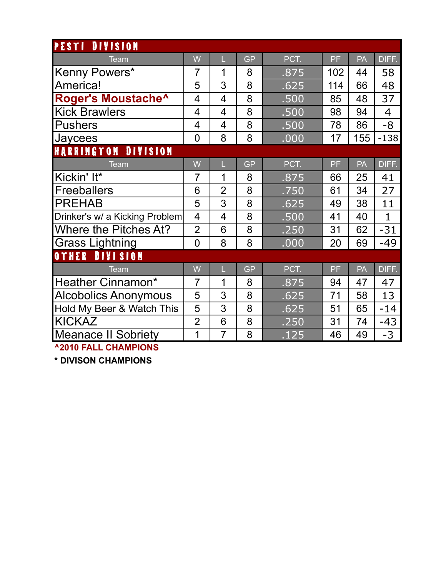| PESTI<br><b>DIVISION</b>       |                |                |           |      |     |     |                |
|--------------------------------|----------------|----------------|-----------|------|-----|-----|----------------|
| Team                           | W              | L              | <b>GP</b> | PCT. | PF  | PA  | DIFF.          |
| Kenny Powers*                  | $\overline{7}$ | 1              | 8         | .875 | 102 | 44  | 58             |
| America!                       | 5              | 3              | 8         | .625 | 114 | 66  | 48             |
| Roger's Moustache^             | 4              | 4              | 8         | .500 | 85  | 48  | 37             |
| <b>Kick Brawlers</b>           | 4              | 4              | 8         | .500 | 98  | 94  | $\overline{4}$ |
| <b>Pushers</b>                 | 4              | 4              | 8         | .500 | 78  | 86  | -8             |
| Jaycees                        | $\overline{0}$ | 8              | 8         | .000 | 17  | 155 | $-138$         |
| <b>DIVISION</b><br>HARRINGTON  |                |                |           |      |     |     |                |
| <b>Team</b>                    | W              | L              | <b>GP</b> | PCT. | PF  | PA  | DIFF.          |
| Kickin' It*                    | $\overline{7}$ | 1              | 8         | .875 | 66  | 25  | 41             |
| <b>Freeballers</b>             | 6              | $\overline{2}$ | 8         | .750 | 61  | 34  | 27             |
| <b>PREHAB</b>                  | 5              | 3              | 8         | .625 | 49  | 38  | 11             |
| Drinker's w/ a Kicking Problem | $\overline{4}$ | $\overline{4}$ | 8         | .500 | 41  | 40  | $\mathbf{1}$   |
| <b>Where the Pitches At?</b>   | $\overline{2}$ | 6              | 8         | .250 | 31  | 62  | $-31$          |
| <b>Grass Lightning</b>         | $\overline{0}$ | 8              | 8         | .000 | 20  | 69  | $-49$          |
| <b>DIVISION</b><br>OTHER       |                |                |           |      |     |     |                |
| Team                           | W              | Ĺ              | <b>GP</b> | PCT. | PF  | PA  | DIFF.          |
| Heather Cinnamon*              | $\overline{7}$ | 1              | 8         | .875 | 94  | 47  | 47             |
| <b>Alcobolics Anonymous</b>    | 5              | 3              | 8         | .625 | 71  | 58  | 13             |
| Hold My Beer & Watch This      | 5              | 3              | 8         | .625 | 51  | 65  | $-14$          |
| <b>KICKAZ</b>                  | $\overline{2}$ | 6              | 8         | .250 | 31  | 74  | $-43$          |
| <b>Meanace II Sobriety</b>     | 1              | $\overline{7}$ | 8         | .125 | 46  | 49  | $-3$           |
| <b>^2010 FALL CHAMPIONS</b>    |                |                |           |      |     |     |                |

**\* DIVISON CHAMPIONS**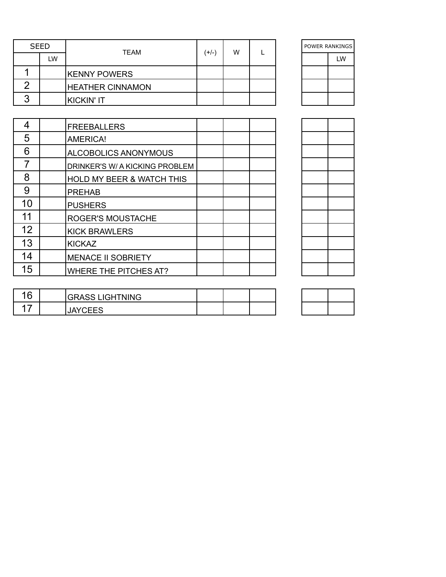| <b>SEED</b> | <b>TEAM</b>             | w<br>(+/-) |  |  |  |    |  | POWER RANKINGS |  |
|-------------|-------------------------|------------|--|--|--|----|--|----------------|--|
| LW          |                         |            |  |  |  | LW |  |                |  |
|             | <b>KENNY POWERS</b>     |            |  |  |  |    |  |                |  |
|             | <b>HEATHER CINNAMON</b> |            |  |  |  |    |  |                |  |
|             | KICKIN' IT              |            |  |  |  |    |  |                |  |

| POWER RANKINGS |  |  |  |
|----------------|--|--|--|
| LW             |  |  |  |
|                |  |  |  |
|                |  |  |  |
|                |  |  |  |

| 4  | <b>FREEBALLERS</b>                   |  |  |
|----|--------------------------------------|--|--|
| 5  | <b>AMERICA!</b>                      |  |  |
| 6  | ALCOBOLICS ANONYMOUS                 |  |  |
|    | DRINKER'S W/ A KICKING PROBLEM       |  |  |
| 8  | <b>HOLD MY BEER &amp; WATCH THIS</b> |  |  |
| 9  | <b>PREHAB</b>                        |  |  |
| 10 | <b>PUSHERS</b>                       |  |  |
| 11 | <b>ROGER'S MOUSTACHE</b>             |  |  |
| 12 | <b>KICK BRAWLERS</b>                 |  |  |
| 13 | <b>KICKAZ</b>                        |  |  |
| 14 | <b>MENACE II SOBRIETY</b>            |  |  |
| 15 | <b>WHERE THE PITCHES AT?</b>         |  |  |

| 16 | <b>GRASS LIGHTNING</b> |  |  |
|----|------------------------|--|--|
|    | <b>JAYCEES</b>         |  |  |